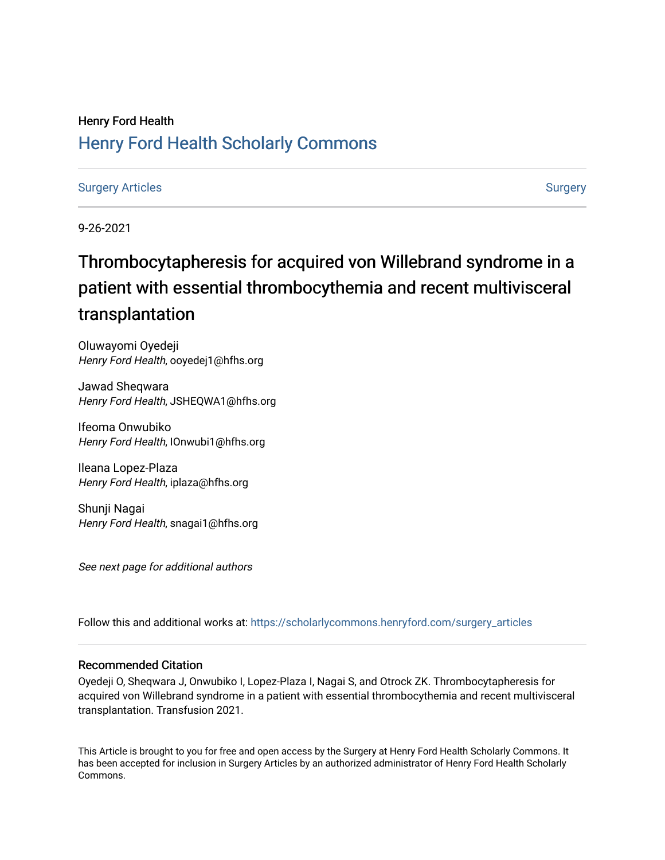## Henry Ford Health [Henry Ford Health Scholarly Commons](https://scholarlycommons.henryford.com/)

### [Surgery Articles](https://scholarlycommons.henryford.com/surgery_articles) **[Surgery](https://scholarlycommons.henryford.com/surgery) Articles** Surgery Articles **Surgery Articles** Surgery Surgery Surgery Surgery Surgery

9-26-2021

## Thrombocytapheresis for acquired von Willebrand syndrome in a patient with essential thrombocythemia and recent multivisceral transplantation

Oluwayomi Oyedeji Henry Ford Health, ooyedej1@hfhs.org

Jawad Sheqwara Henry Ford Health, JSHEQWA1@hfhs.org

Ifeoma Onwubiko Henry Ford Health, IOnwubi1@hfhs.org

Ileana Lopez-Plaza Henry Ford Health, iplaza@hfhs.org

Shunji Nagai Henry Ford Health, snagai1@hfhs.org

See next page for additional authors

Follow this and additional works at: [https://scholarlycommons.henryford.com/surgery\\_articles](https://scholarlycommons.henryford.com/surgery_articles?utm_source=scholarlycommons.henryford.com%2Fsurgery_articles%2F523&utm_medium=PDF&utm_campaign=PDFCoverPages)

### Recommended Citation

Oyedeji O, Sheqwara J, Onwubiko I, Lopez-Plaza I, Nagai S, and Otrock ZK. Thrombocytapheresis for acquired von Willebrand syndrome in a patient with essential thrombocythemia and recent multivisceral transplantation. Transfusion 2021.

This Article is brought to you for free and open access by the Surgery at Henry Ford Health Scholarly Commons. It has been accepted for inclusion in Surgery Articles by an authorized administrator of Henry Ford Health Scholarly Commons.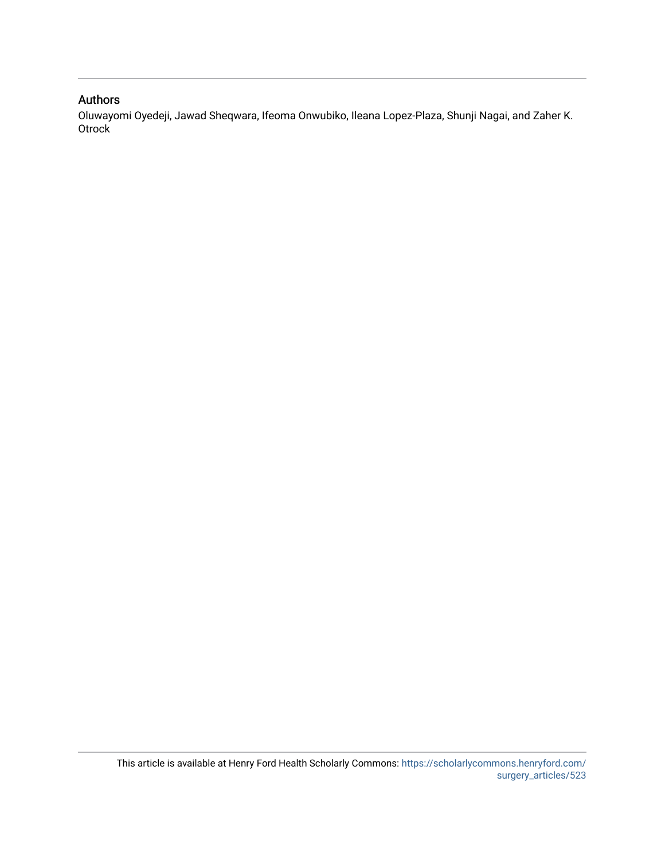## Authors

Oluwayomi Oyedeji, Jawad Sheqwara, Ifeoma Onwubiko, Ileana Lopez-Plaza, Shunji Nagai, and Zaher K. **Otrock**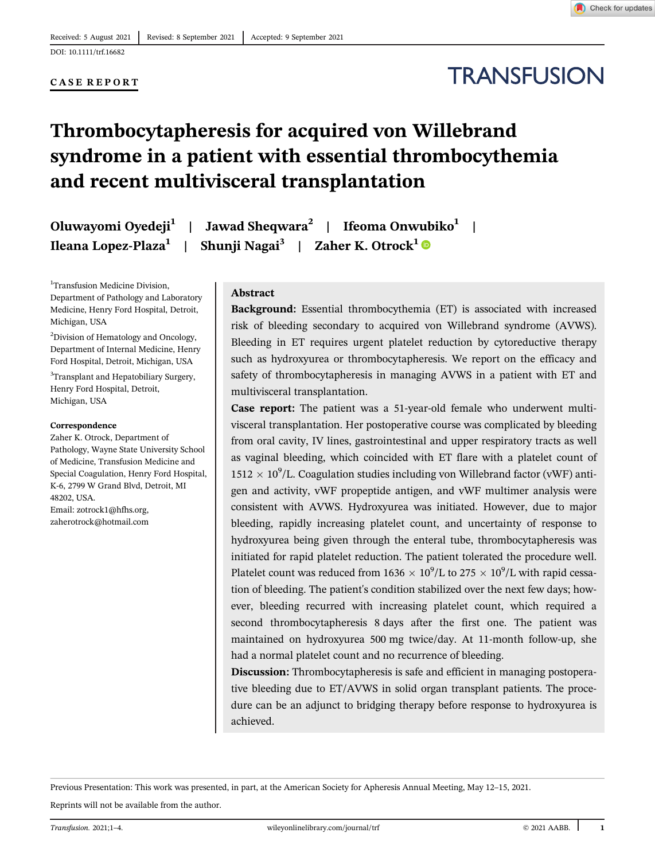#### CASE REPORT

# **TRANSFUSION**

## Thrombocytapheresis for acquired von Willebrand syndrome in a patient with essential thrombocythemia and recent multivisceral transplantation

Oluwayomi Oyedeji<sup>1</sup> | Jawad Sheqwara<sup>2</sup> | Ifeoma Onwubiko<sup>1</sup> | Ileana Lopez-Plaza<sup>1</sup> | Shunji Nagai<sup>3</sup> | Zaher K. Otrock<sup>1</sup>

<sup>1</sup>Transfusion Medicine Division, Department of Pathology and Laboratory Medicine, Henry Ford Hospital, Detroit, Michigan, USA

2 Division of Hematology and Oncology, Department of Internal Medicine, Henry Ford Hospital, Detroit, Michigan, USA <sup>3</sup>Transplant and Hepatobiliary Surgery, Henry Ford Hospital, Detroit, Michigan, USA

#### Correspondence

Zaher K. Otrock, Department of Pathology, Wayne State University School of Medicine, Transfusion Medicine and Special Coagulation, Henry Ford Hospital, K-6, 2799 W Grand Blvd, Detroit, MI 48202, USA. Email: [zotrock1@hfhs.org](mailto:zotrock1@hfhs.org), [zaherotrock@hotmail.com](mailto:zaherotrock@hotmail.com)

#### Abstract

Background: Essential thrombocythemia (ET) is associated with increased risk of bleeding secondary to acquired von Willebrand syndrome (AVWS). Bleeding in ET requires urgent platelet reduction by cytoreductive therapy such as hydroxyurea or thrombocytapheresis. We report on the efficacy and safety of thrombocytapheresis in managing AVWS in a patient with ET and multivisceral transplantation.

Case report: The patient was a 51-year-old female who underwent multivisceral transplantation. Her postoperative course was complicated by bleeding from oral cavity, IV lines, gastrointestinal and upper respiratory tracts as well as vaginal bleeding, which coincided with ET flare with a platelet count of  $1512\times10^9$ /L. Coagulation studies including von Willebrand factor (vWF) antigen and activity, vWF propeptide antigen, and vWF multimer analysis were consistent with AVWS. Hydroxyurea was initiated. However, due to major bleeding, rapidly increasing platelet count, and uncertainty of response to hydroxyurea being given through the enteral tube, thrombocytapheresis was initiated for rapid platelet reduction. The patient tolerated the procedure well. Platelet count was reduced from  $1636 \times 10^9$ /L to  $275 \times 10^9$ /L with rapid cessation of bleeding. The patient's condition stabilized over the next few days; however, bleeding recurred with increasing platelet count, which required a second thrombocytapheresis 8 days after the first one. The patient was maintained on hydroxyurea 500 mg twice/day. At 11-month follow-up, she had a normal platelet count and no recurrence of bleeding.

Discussion: Thrombocytapheresis is safe and efficient in managing postoperative bleeding due to ET/AVWS in solid organ transplant patients. The procedure can be an adjunct to bridging therapy before response to hydroxyurea is achieved.

Previous Presentation: This work was presented, in part, at the American Society for Apheresis Annual Meeting, May 12–15, 2021.

Reprints will not be available from the author.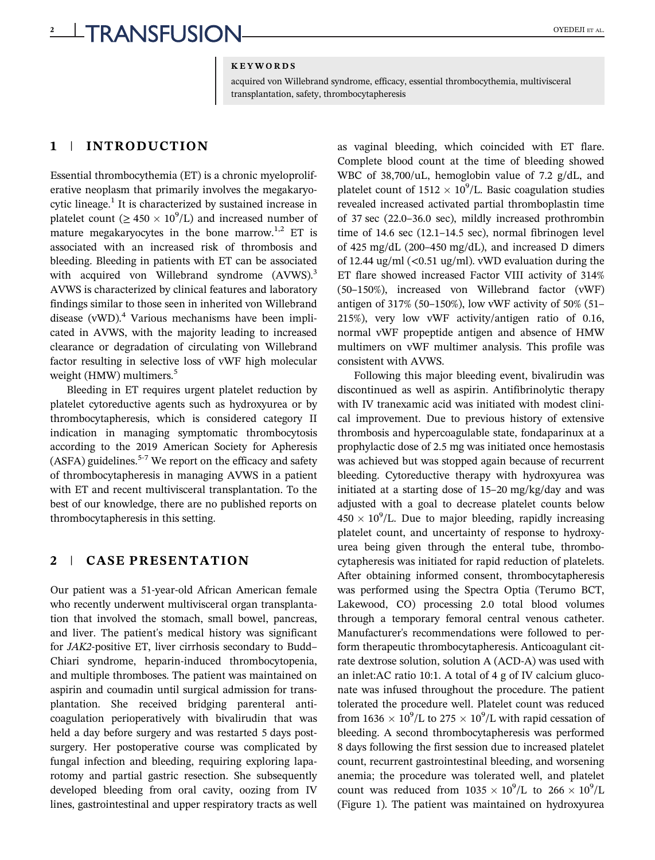#### **KEYWORDS**

acquired von Willebrand syndrome, efficacy, essential thrombocythemia, multivisceral transplantation, safety, thrombocytapheresis

#### 1 | INTRODUCTION

Essential thrombocythemia (ET) is a chronic myeloproliferative neoplasm that primarily involves the megakaryocytic lineage.<sup>1</sup> It is characterized by sustained increase in platelet count ( $\geq 450 \times 10^9$ /L) and increased number of mature megakaryocytes in the bone marrow.<sup>1,2</sup> ET is associated with an increased risk of thrombosis and bleeding. Bleeding in patients with ET can be associated with acquired von Willebrand syndrome (AVWS).<sup>3</sup> AVWS is characterized by clinical features and laboratory findings similar to those seen in inherited von Willebrand disease (vWD).<sup>4</sup> Various mechanisms have been implicated in AVWS, with the majority leading to increased clearance or degradation of circulating von Willebrand factor resulting in selective loss of vWF high molecular weight (HMW) multimers.<sup>5</sup>

Bleeding in ET requires urgent platelet reduction by platelet cytoreductive agents such as hydroxyurea or by thrombocytapheresis, which is considered category II indication in managing symptomatic thrombocytosis according to the 2019 American Society for Apheresis  $(ASFA)$  guidelines.<sup>5-7</sup> We report on the efficacy and safety of thrombocytapheresis in managing AVWS in a patient with ET and recent multivisceral transplantation. To the best of our knowledge, there are no published reports on thrombocytapheresis in this setting.

### 2 | CASE PRESENTATION

Our patient was a 51-year-old African American female who recently underwent multivisceral organ transplantation that involved the stomach, small bowel, pancreas, and liver. The patient's medical history was significant for JAK2-positive ET, liver cirrhosis secondary to Budd– Chiari syndrome, heparin-induced thrombocytopenia, and multiple thromboses. The patient was maintained on aspirin and coumadin until surgical admission for transplantation. She received bridging parenteral anticoagulation perioperatively with bivalirudin that was held a day before surgery and was restarted 5 days postsurgery. Her postoperative course was complicated by fungal infection and bleeding, requiring exploring laparotomy and partial gastric resection. She subsequently developed bleeding from oral cavity, oozing from IV lines, gastrointestinal and upper respiratory tracts as well

as vaginal bleeding, which coincided with ET flare. Complete blood count at the time of bleeding showed WBC of 38,700/uL, hemoglobin value of 7.2 g/dL, and platelet count of  $1512 \times 10^9$ /L. Basic coagulation studies revealed increased activated partial thromboplastin time of 37 sec (22.0–36.0 sec), mildly increased prothrombin time of 14.6 sec (12.1–14.5 sec), normal fibrinogen level of 425 mg/dL (200–450 mg/dL), and increased D dimers of 12.44 ug/ml  $\left($ <0.51 ug/ml). vWD evaluation during the ET flare showed increased Factor VIII activity of 314% (50–150%), increased von Willebrand factor (vWF) antigen of 317% (50–150%), low vWF activity of 50% (51– 215%), very low vWF activity/antigen ratio of 0.16, normal vWF propeptide antigen and absence of HMW multimers on vWF multimer analysis. This profile was consistent with AVWS.

Following this major bleeding event, bivalirudin was discontinued as well as aspirin. Antifibrinolytic therapy with IV tranexamic acid was initiated with modest clinical improvement. Due to previous history of extensive thrombosis and hypercoagulable state, fondaparinux at a prophylactic dose of 2.5 mg was initiated once hemostasis was achieved but was stopped again because of recurrent bleeding. Cytoreductive therapy with hydroxyurea was initiated at a starting dose of 15–20 mg/kg/day and was adjusted with a goal to decrease platelet counts below  $450 \times 10^9$ /L. Due to major bleeding, rapidly increasing platelet count, and uncertainty of response to hydroxyurea being given through the enteral tube, thrombocytapheresis was initiated for rapid reduction of platelets. After obtaining informed consent, thrombocytapheresis was performed using the Spectra Optia (Terumo BCT, Lakewood, CO) processing 2.0 total blood volumes through a temporary femoral central venous catheter. Manufacturer's recommendations were followed to perform therapeutic thrombocytapheresis. Anticoagulant citrate dextrose solution, solution A (ACD-A) was used with an inlet:AC ratio 10:1. A total of 4 g of IV calcium gluconate was infused throughout the procedure. The patient tolerated the procedure well. Platelet count was reduced from  $1636 \times 10^9$ /L to  $275 \times 10^9$ /L with rapid cessation of bleeding. A second thrombocytapheresis was performed 8 days following the first session due to increased platelet count, recurrent gastrointestinal bleeding, and worsening anemia; the procedure was tolerated well, and platelet count was reduced from  $1035 \times 10^9$ /L to  $266 \times 10^9$ /L (Figure 1). The patient was maintained on hydroxyurea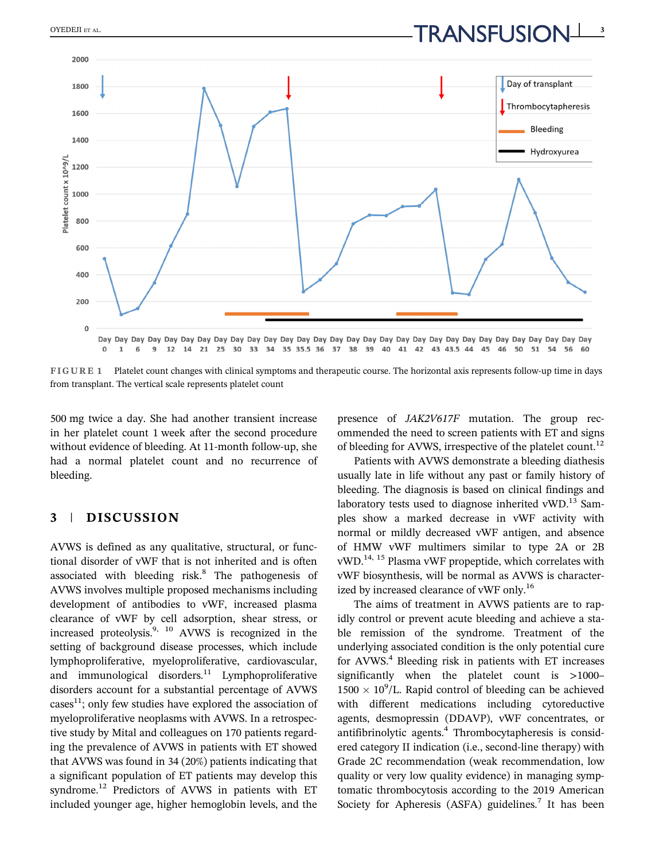$\overbrace{\text{ORANSFUSION}}^{OYEDEII\text{ ET AL}}$ 



FIGURE 1 Platelet count changes with clinical symptoms and therapeutic course. The horizontal axis represents follow-up time in days from transplant. The vertical scale represents platelet count

500 mg twice a day. She had another transient increase in her platelet count 1 week after the second procedure without evidence of bleeding. At 11-month follow-up, she had a normal platelet count and no recurrence of bleeding.

### 3 | DISCUSSION

AVWS is defined as any qualitative, structural, or functional disorder of vWF that is not inherited and is often associated with bleeding risk. $8$  The pathogenesis of AVWS involves multiple proposed mechanisms including development of antibodies to vWF, increased plasma clearance of vWF by cell adsorption, shear stress, or increased proteolysis. $9, 10$  AVWS is recognized in the setting of background disease processes, which include lymphoproliferative, myeloproliferative, cardiovascular, and immunological disorders. $11$  Lymphoproliferative disorders account for a substantial percentage of AVWS  $cases<sup>11</sup>$ ; only few studies have explored the association of myeloproliferative neoplasms with AVWS. In a retrospective study by Mital and colleagues on 170 patients regarding the prevalence of AVWS in patients with ET showed that AVWS was found in 34 (20%) patients indicating that a significant population of ET patients may develop this syndrome.<sup>12</sup> Predictors of AVWS in patients with ET included younger age, higher hemoglobin levels, and the

presence of JAK2V617F mutation. The group recommended the need to screen patients with ET and signs of bleeding for AVWS, irrespective of the platelet count.<sup>12</sup>

Patients with AVWS demonstrate a bleeding diathesis usually late in life without any past or family history of bleeding. The diagnosis is based on clinical findings and laboratory tests used to diagnose inherited vWD. $^{13}$  Samples show a marked decrease in vWF activity with normal or mildly decreased vWF antigen, and absence of HMW vWF multimers similar to type 2A or 2B vWD.14, 15 Plasma vWF propeptide, which correlates with vWF biosynthesis, will be normal as AVWS is characterized by increased clearance of vWF only.<sup>16</sup>

The aims of treatment in AVWS patients are to rapidly control or prevent acute bleeding and achieve a stable remission of the syndrome. Treatment of the underlying associated condition is the only potential cure for AVWS.<sup>4</sup> Bleeding risk in patients with ET increases significantly when the platelet count is >1000–  $1500 \times 10^9$ /L. Rapid control of bleeding can be achieved with different medications including cytoreductive agents, desmopressin (DDAVP), vWF concentrates, or antifibrinolytic agents.<sup>4</sup> Thrombocytapheresis is considered category II indication (i.e., second-line therapy) with Grade 2C recommendation (weak recommendation, low quality or very low quality evidence) in managing symptomatic thrombocytosis according to the 2019 American Society for Apheresis (ASFA) guidelines.<sup>7</sup> It has been